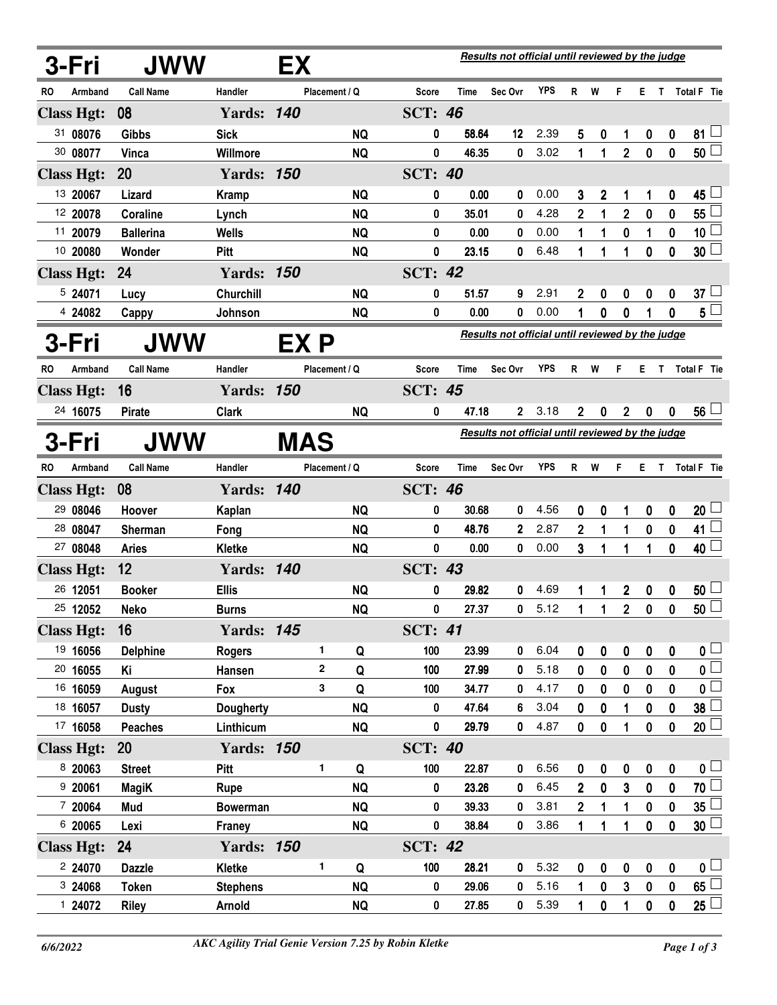|       | 3-Fri             | JWW              |                   | EX         |               |           |                |                                                  | Results not official until reviewed by the judge |            |                  |                  |                  |                  |                  |                         |
|-------|-------------------|------------------|-------------------|------------|---------------|-----------|----------------|--------------------------------------------------|--------------------------------------------------|------------|------------------|------------------|------------------|------------------|------------------|-------------------------|
| RO    | Armband           | <b>Call Name</b> | Handler           |            | Placement / Q |           | Score          | Time                                             | Sec Ovr                                          | <b>YPS</b> |                  | R W              | F.               | E.               |                  | T Total F Tie           |
|       | <b>Class Hgt:</b> | 08               | <b>Yards: 140</b> |            |               |           | <b>SCT: 46</b> |                                                  |                                                  |            |                  |                  |                  |                  |                  |                         |
|       | 31 08076          | <b>Gibbs</b>     | <b>Sick</b>       |            |               | <b>NQ</b> | 0              | 58.64                                            | 12                                               | 2.39       | 5                | 0                | 1                | 0                | 0                | 81                      |
|       | 30 08077          | Vinca            | Willmore          |            |               | <b>NQ</b> | 0              | 46.35                                            | 0                                                | 3.02       | 1                | 1                | $\overline{2}$   | $\bf{0}$         | $\bf{0}$         | $50\perp$               |
|       | <b>Class Hgt:</b> | 20               | <b>Yards: 150</b> |            |               |           | <b>SCT: 40</b> |                                                  |                                                  |            |                  |                  |                  |                  |                  |                         |
|       | 13 20067          | Lizard           | <b>Kramp</b>      |            |               | <b>NQ</b> | 0              | 0.00                                             | 0                                                | 0.00       | 3                | $\boldsymbol{2}$ | 1                | 1                | 0                | 45                      |
|       | 12 20078          | Coraline         | Lynch             |            |               | <b>NQ</b> | 0              | 35.01                                            | 0                                                | 4.28       | $\overline{2}$   | 1                | $\overline{2}$   | $\bf{0}$         | $\mathbf 0$      | $55^{\frac{1}{2}}$      |
|       | 11 20079          | <b>Ballerina</b> | <b>Wells</b>      |            |               | <b>NQ</b> | 0              | 0.00                                             | 0                                                | 0.00       | 1                | 1                | 0                | 1                | $\pmb{0}$        | 10 <sub>1</sub>         |
|       | 10 20080          | Wonder           | <b>Pitt</b>       |            |               | <b>NQ</b> | 0              | 23.15                                            | 0                                                | 6.48       | 1                | 1                | 1                | 0                | $\mathbf 0$      | 30 <sup>2</sup>         |
|       | <b>Class Hgt:</b> | 24               | <b>Yards: 150</b> |            |               |           | <b>SCT: 42</b> |                                                  |                                                  |            |                  |                  |                  |                  |                  |                         |
|       | 5 24071           | Lucy             | Churchill         |            |               | <b>NQ</b> | 0              | 51.57                                            | 9                                                | 2.91       | $\mathbf 2$      | 0                | 0                | 0                | 0                | 37 <sup>1</sup>         |
|       | 4 24082           | Cappy            | Johnson           |            |               | <b>NQ</b> | 0              | 0.00                                             | 0                                                | 0.00       | 1                | 0                | 0                |                  | 0                | $5\sqcup$               |
|       | 3-Fri             | JWW              |                   | EX P       |               |           |                |                                                  | Results not official until reviewed by the judge |            |                  |                  |                  |                  |                  |                         |
| RO    | Armband           | <b>Call Name</b> | Handler           |            | Placement / Q |           | Score          | Time                                             | Sec Ovr                                          | <b>YPS</b> | R                | W                | F                | E.               | T.               | Total F Tie             |
|       | <b>Class Hgt:</b> | 16               | <b>Yards: 150</b> |            |               |           | <b>SCT: 45</b> |                                                  |                                                  |            |                  |                  |                  |                  |                  |                         |
|       | 24 16075          | <b>Pirate</b>    | <b>Clark</b>      |            |               | <b>NQ</b> | 0              | 47.18                                            | $\mathbf{2}$                                     | 3.18       | $\overline{2}$   | 0                | $\boldsymbol{2}$ | $\mathbf 0$      | 0                | 56 <sup>1</sup>         |
| 3-Fri |                   | <b>JWW</b>       |                   | <b>MAS</b> |               |           |                | Results not official until reviewed by the judge |                                                  |            |                  |                  |                  |                  |                  |                         |
| RO.   | Armband           | <b>Call Name</b> | Handler           |            | Placement / Q |           | Score          | Time                                             | Sec Ovr                                          | YPS        |                  | R W              | F.               |                  |                  | E T Total F Tie         |
|       | <b>Class Hgt:</b> | 08               | <b>Yards: 140</b> |            |               |           | <b>SCT: 46</b> |                                                  |                                                  |            |                  |                  |                  |                  |                  |                         |
|       | 29 08046          | Hoover           | Kaplan            |            |               | <b>NQ</b> | 0              | 30.68                                            | 0                                                | 4.56       | 0                | 0                | 1                | 0                | 0                | $20 -$                  |
|       | 28 08047          | <b>Sherman</b>   | Fong              |            |               | <b>NQ</b> | 0              | 48.76                                            | $\overline{2}$                                   | 2.87       | $\mathbf 2$      | 1                | 1                | 0                | $\boldsymbol{0}$ | 41                      |
|       | 27 08048          | <b>Aries</b>     | <b>Kletke</b>     |            |               | <b>NQ</b> | 0              | 0.00                                             | 0                                                | 0.00       | 3                | 1                | 1                | 1                | $\mathbf 0$      | $40\perp$               |
|       | <b>Class Hgt:</b> | 12               | <b>Yards: 140</b> |            |               |           | <b>SCT: 43</b> |                                                  |                                                  |            |                  |                  |                  |                  |                  |                         |
|       | 26 12051          | <b>Booker</b>    | <b>Ellis</b>      |            |               | <b>NQ</b> | 0              | 29.82                                            | 0                                                | 4.69       |                  |                  | 2                | 0                | 0                | 50 <sup>1</sup>         |
|       | 25 12052          | <b>Neko</b>      | <b>Burns</b>      |            |               | <b>NQ</b> | 0              | 27.37                                            | 0                                                | 5.12       | 1                | 1                | 2                | 0                | 0                | 50 <sup>1</sup>         |
|       | <b>Class Hgt:</b> | 16               | <b>Yards: 145</b> |            |               |           | <b>SCT: 41</b> |                                                  |                                                  |            |                  |                  |                  |                  |                  |                         |
|       | 19 16056          | <b>Delphine</b>  | <b>Rogers</b>     |            | 1             | Q         | 100            | 23.99                                            | 0                                                | 6.04       | 0                | $\boldsymbol{0}$ | 0                | $\boldsymbol{0}$ | $\mathbf 0$      | $\mathfrak{o} \sqcup$   |
|       | 20 16055          | Κi               | Hansen            |            | 2             | Q         | 100            | 27.99                                            | 0                                                | 5.18       | 0                | $\mathbf 0$      | 0                | $\mathbf 0$      | $\mathbf 0$      | $\overline{0}$          |
|       | 16 16059          | August           | Fox               |            | 3             | Q         | 100            | 34.77                                            | 0                                                | 4.17       | 0                | 0                | 0                | $\pmb{0}$        | $\mathbf 0$      | $\overline{\mathbf{0}}$ |
|       | 18 16057          | <b>Dusty</b>     | <b>Dougherty</b>  |            |               | <b>NQ</b> | 0              | 47.64                                            | 6                                                | 3.04       | 0                | 0                | 1                | 0                | 0                | $\overline{38}$         |
|       | 17 16058          | <b>Peaches</b>   | Linthicum         |            |               | <b>NQ</b> | 0              | 29.79                                            | 0                                                | 4.87       | 0                | $\mathbf 0$      | 1                | $\mathbf 0$      | $\pmb{0}$        | $20$ $\Box$             |
|       | <b>Class Hgt:</b> | <b>20</b>        | <b>Yards: 150</b> |            |               |           | <b>SCT: 40</b> |                                                  |                                                  |            |                  |                  |                  |                  |                  |                         |
|       | 8 20063           | <b>Street</b>    | Pitt              |            | 1             | Q         | 100            | 22.87                                            | 0                                                | 6.56       | $\boldsymbol{0}$ | $\boldsymbol{0}$ | 0                | $\pmb{0}$        | 0                | $\mathbf{0}$            |
|       | 920061            | <b>MagiK</b>     | Rupe              |            |               | <b>NQ</b> | 0              | 23.26                                            | 0                                                | 6.45       | 2 <sup>2</sup>   | $\bf{0}$         | 3                | $\boldsymbol{0}$ | $\pmb{0}$        | $70$ $\Box$             |
|       | 7 20064           | Mud              | <b>Bowerman</b>   |            |               | <b>NQ</b> | 0              | 39.33                                            | 0                                                | 3.81       | $\overline{2}$   | 1                | 1                | $\pmb{0}$        | $\bf{0}$         | $35 \Box$               |
|       | 6 20065           | Lexi             | <b>Franey</b>     |            |               | <b>NQ</b> | 0              | 38.84                                            | 0                                                | 3.86       | 1                | 1                | 1                | $\pmb{0}$        | 0                | 30 <sup>1</sup>         |
|       | <b>Class Hgt:</b> | 24               | <b>Yards: 150</b> |            |               |           | <b>SCT: 42</b> |                                                  |                                                  |            |                  |                  |                  |                  |                  |                         |
|       | 2 24070           | <b>Dazzle</b>    | Kletke            |            | 1             | Q         | 100            | 28.21                                            | 0                                                | 5.32       | $\mathbf 0$      | 0                | $\boldsymbol{0}$ | $\pmb{0}$        | $\bf{0}$         | 0 <sub>1</sub>          |
|       | 3 24068           | <b>Token</b>     | <b>Stephens</b>   |            |               | <b>NQ</b> | 0              | 29.06                                            | 0                                                | 5.16       | 1                | 0                | 3                | $\boldsymbol{0}$ | 0                | $\underline{65}$        |
|       | 1 24072           | <b>Riley</b>     | Arnold            |            |               | <b>NQ</b> | 0              | 27.85                                            | 0                                                | 5.39       | 1                | 0                | 1                | 0                | 0                | $25 \Box$               |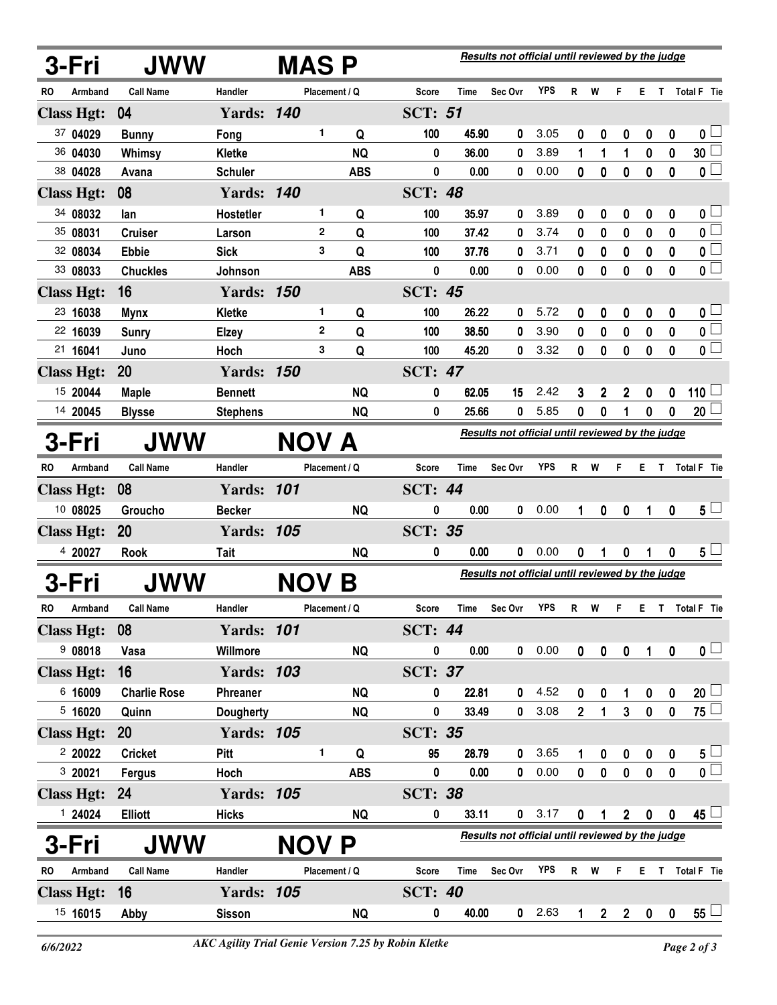|       | 3-Fri             | <b>JWW</b>          |                   | <b>MASP</b>  |               |                |       | Results not official until reviewed by the judge |            |                |                |                |                  |                  |                         |
|-------|-------------------|---------------------|-------------------|--------------|---------------|----------------|-------|--------------------------------------------------|------------|----------------|----------------|----------------|------------------|------------------|-------------------------|
| RO    | Armband           | <b>Call Name</b>    | Handler           |              | Placement / Q | <b>Score</b>   | Time  | Sec Ovr                                          | <b>YPS</b> | R              | W              | F              | E.               | Τ                | Total F Tie             |
|       | <b>Class Hgt:</b> | 04                  | <b>Yards: 140</b> |              |               | <b>SCT: 51</b> |       |                                                  |            |                |                |                |                  |                  |                         |
|       | 37 04029          | <b>Bunny</b>        | Fong              | 1            | Q             | 100            | 45.90 | 0                                                | 3.05       | 0              | 0              | 0              | 0                | $\boldsymbol{0}$ | $\mathbf{0}$ $\Box$     |
|       | 36 04030          | Whimsy              | <b>Kletke</b>     |              | <b>NQ</b>     | 0              | 36.00 | 0                                                | 3.89       | 1              | 1              | 1              | 0                | $\bf{0}$         | 30 <sup>1</sup>         |
|       | 38 04028          | Avana               | <b>Schuler</b>    |              | <b>ABS</b>    | 0              | 0.00  | 0                                                | 0.00       | $\mathbf{0}$   | $\bf{0}$       | 0              | 0                | 0                | $\overline{\mathbf{0}}$ |
|       | <b>Class Hgt:</b> | 08                  | <b>Yards: 140</b> |              |               | <b>SCT: 48</b> |       |                                                  |            |                |                |                |                  |                  |                         |
|       | 34 08032          | lan                 | Hostetler         | 1            | Q             | 100            | 35.97 | 0                                                | 3.89       | 0              | 0              | 0              | 0                | 0                | 0 <sub>1</sub>          |
|       | 35 08031          | <b>Cruiser</b>      | Larson            | $\mathbf{2}$ | Q             | 100            | 37.42 | 0                                                | 3.74       | 0              | 0              | 0              | 0                | 0                | $\overline{\mathbf{0}}$ |
|       | 32 08034          | <b>Ebbie</b>        | <b>Sick</b>       | 3            | Q             | 100            | 37.76 | 0                                                | 3.71       | 0              | 0              | 0              | 0                | 0                | $\overline{\mathbf{0}}$ |
|       | 33 08033          | <b>Chuckles</b>     | Johnson           |              | <b>ABS</b>    | 0              | 0.00  | 0                                                | 0.00       | 0              | 0              | 0              | 0                | 0                | $\overline{\mathbf{0}}$ |
|       | <b>Class Hgt:</b> | 16                  | <b>Yards: 150</b> |              |               | <b>SCT: 45</b> |       |                                                  |            |                |                |                |                  |                  |                         |
|       | 23 16038          | <b>Mynx</b>         | <b>Kletke</b>     | 1            | Q             | 100            | 26.22 | 0                                                | 5.72       | 0              | 0              | 0              | 0                | 0                | $\mathbf{0}$ $\Box$     |
|       | 22 16039          | <b>Sunry</b>        | <b>Elzey</b>      | $\mathbf{2}$ | Q             | 100            | 38.50 | 0                                                | 3.90       | 0              | 0              | 0              | 0                | 0                | $\overline{\mathbf{0}}$ |
|       | 21 16041          | Juno                | Hoch              | 3            | Q             | 100            | 45.20 | 0                                                | 3.32       | 0              | 0              | 0              | 0                | $\mathbf 0$      | $\overline{\mathbf{0}}$ |
|       | <b>Class Hgt:</b> | 20                  | <b>Yards: 150</b> |              |               | <b>SCT: 47</b> |       |                                                  |            |                |                |                |                  |                  |                         |
|       | 15 20044          | <b>Maple</b>        | <b>Bennett</b>    |              | <b>NQ</b>     | 0              | 62.05 | 15                                               | 2.42       | 3              | 2              | 2              | $\boldsymbol{0}$ | 0                | 110 $\Box$              |
|       | 14 20045          | <b>Blysse</b>       | <b>Stephens</b>   |              | <b>NQ</b>     | 0              | 25.66 | 0                                                | 5.85       | 0              | 0              |                | 0                | $\mathbf 0$      | 20 <sup>1</sup>         |
|       | 3-Fri             | <b>JWW</b>          |                   | NOV A        |               |                |       | Results not official until reviewed by the judge |            |                |                |                |                  |                  |                         |
| RO.   | Armband           | <b>Call Name</b>    | Handler           |              | Placement / Q | Score          | Time  | Sec Ovr                                          | <b>YPS</b> | R.             | W              | F              | E.               | $\mathbf{T}$     | Total F Tie             |
|       | <b>Class Hgt:</b> | 08                  | <b>Yards: 101</b> |              |               | <b>SCT: 44</b> |       |                                                  |            |                |                |                |                  |                  |                         |
|       | 10 08025          | Groucho             | <b>Becker</b>     |              | <b>NQ</b>     | 0              | 0.00  | 0                                                | 0.00       | 1              | 0              | 0              |                  | 0                | 5 <sub>1</sub>          |
|       | <b>Class Hgt:</b> | 20                  | <b>Yards: 105</b> |              |               | SCT:           | 35    |                                                  |            |                |                |                |                  |                  |                         |
|       | 4 20027           | <b>Rook</b>         | <b>Tait</b>       |              | <b>NQ</b>     | 0              | 0.00  | 0                                                | 0.00       | 0              | 1              | 0              | 1                | $\mathbf{0}$     | $5 -$                   |
| 3-Fri |                   | JWW                 |                   | <b>NOV</b>   | Β             |                |       | Results not official until reviewed by the judge |            |                |                |                |                  |                  |                         |
| RO    | Armband           | <b>Call Name</b>    | Handler           |              | Placement / Q | Score          | Time  | Sec Ovr                                          | <b>YPS</b> | R              | W              | F              | E.               |                  | T Total F Tie           |
|       | <b>Class Hgt:</b> | 08                  | <b>Yards: 101</b> |              |               | <b>SCT: 44</b> |       |                                                  |            |                |                |                |                  |                  |                         |
|       | 908018            | Vasa                | Willmore          |              | <b>NQ</b>     | 0              | 0.00  | 0                                                | 0.00       | $\mathbf 0$    | $\pmb{0}$      | $\mathbf 0$    | $\mathbf{1}$     | $\mathbf 0$      | 0 <sub>1</sub>          |
|       | <b>Class Hgt:</b> | 16                  | <b>Yards: 103</b> |              |               | <b>SCT: 37</b> |       |                                                  |            |                |                |                |                  |                  |                         |
|       | 6 16009           | <b>Charlie Rose</b> | Phreaner          |              | <b>NQ</b>     | 0              | 22.81 | 0                                                | 4.52       | 0              | 0              | 1              | $\mathbf 0$      | 0                | $20\sqcup$              |
|       | 5,16020           | Quinn               | <b>Dougherty</b>  |              | <b>NQ</b>     | 0              | 33.49 | 0                                                | 3.08       | $\overline{2}$ | 1              | $\mathbf{3}$   | $\mathbf 0$      | $\pmb{0}$        | $\overline{75}$         |
|       | <b>Class Hgt:</b> | <b>20</b>           | <b>Yards: 105</b> |              |               | <b>SCT: 35</b> |       |                                                  |            |                |                |                |                  |                  |                         |
|       | 220022            | <b>Cricket</b>      | Pitt              | 1.           | Q             | 95             | 28.79 | 0                                                | 3.65       |                | 0              | 0              | $\mathbf 0$      | 0                | $5\perp$                |
|       | 3 20021           | Fergus              | Hoch              |              | <b>ABS</b>    | 0              | 0.00  | 0                                                | 0.00       | $\mathbf{0}$   | $\pmb{0}$      | $\mathbf 0$    | $\pmb{0}$        | $\pmb{0}$        | $\overline{\mathbf{0}}$ |
|       | <b>Class Hgt:</b> | 24                  | <b>Yards: 105</b> |              |               | <b>SCT: 38</b> |       |                                                  |            |                |                |                |                  |                  |                         |
|       | 1 24024           | <b>Elliott</b>      | <b>Hicks</b>      |              | <b>NQ</b>     | $\pmb{0}$      | 33.11 | $\mathbf 0$                                      | 3.17       | $\mathbf 0$    | 1              | $\overline{2}$ | $\pmb{0}$        | 0                | $45 -$                  |
|       | 3-Fri             | <b>JWW</b>          |                   | <b>NOV P</b> |               |                |       | Results not official until reviewed by the judge |            |                |                |                |                  |                  |                         |
| RO    | Armband           | <b>Call Name</b>    | Handler           |              | Placement / Q | Score          | Time  | Sec Ovr                                          | <b>YPS</b> |                | R W            | F              | E.               |                  | T Total F Tie           |
|       | <b>Class Hgt:</b> | 16                  | <b>Yards: 105</b> |              |               | <b>SCT: 40</b> |       |                                                  |            |                |                |                |                  |                  |                         |
|       | 15 16015          | Abby                | <b>Sisson</b>     |              | <b>NQ</b>     | 0              | 40.00 | $\mathbf 0$                                      | 2.63       |                | $\overline{2}$ | 2 <sup>2</sup> | $\mathbf 0$      | 0                | $55^{\perp}$            |
|       |                   |                     |                   |              |               |                |       |                                                  |            |                |                |                |                  |                  |                         |